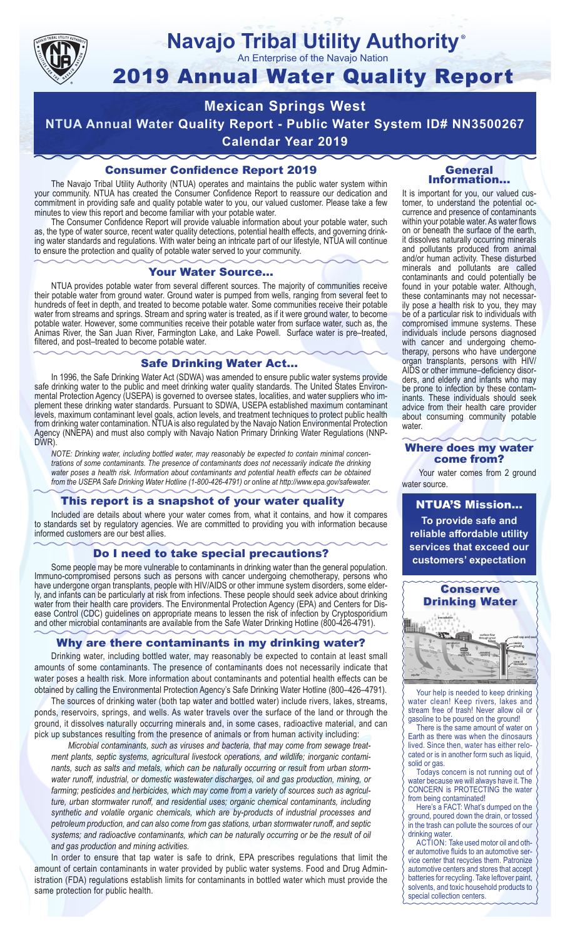

#### **Navajo Tribal Utility Authority** ®

An Enterprise of the Navajo Nation

# 2019 Annual Water Quality Report

## **Mexican Springs West NTUA Annual Water Quality Report - Public Water System ID# NN3500267 Calendar Year 2019**

## Consumer Confidence Report 2019

The Navajo Tribal Utility Authority (NTUA) operates and maintains the public water system within your community. NTUA has created the Consumer Confidence Report to reassure our dedication and commitment in providing safe and quality potable water to you, our valued customer. Please take a few minutes to view this report and become familiar with your potable water.

The Consumer Confidence Report will provide valuable information about your potable water, such as, the type of water source, recent water quality detections, potential health effects, and governing drinking water standards and regulations. With water being an intricate part of our lifestyle, NTUA will continue to ensure the protection and quality of potable water served to your community.

#### Your Water Source…

NTUA provides potable water from several different sources. The majority of communities receive their potable water from ground water. Ground water is pumped from wells, ranging from several feet to hundreds of feet in depth, and treated to become potable water. Some communities receive their potable water from streams and springs. Stream and spring water is treated, as if it were ground water, to become potable water. However, some communities receive their potable water from surface water, such as, the Animas River, the San Juan River, Farmington Lake, and Lake Powell. Surface water is pre–treated, filtered, and post–treated to become potable water.

#### Safe Drinking Water Act…

In 1996, the Safe Drinking Water Act (SDWA) was amended to ensure public water systems provide safe drinking water to the public and meet drinking water quality standards. The United States Environmental Protection Agency (USEPA) is governed to oversee states, localities, and water suppliers who implement these drinking water standards. Pursuant to SDWA, USEPA established maximum contaminant levels, maximum contaminant level goals, action levels, and treatment techniques to protect public health from drinking water contamination. NTUA is also regulated by the Navajo Nation Environmental Protection Agency (NNEPA) and must also comply with Navajo Nation Primary Drinking Water Regulations (NNP-DWR)

*NOTE: Drinking water, including bottled water, may reasonably be expected to contain minimal concentrations of some contaminants. The presence of contaminants does not necessarily indicate the drinking water poses a health risk. Information about contaminants and potential health effects can be obtained from the USEPA Safe Drinking Water Hotline (1-800-426-4791) or online at http://www.epa.gov/safewater.*

## This report is a snapshot of your water quality

Included are details about where your water comes from, what it contains, and how it compares to standards set by regulatory agencies. We are committed to providing you with information because informed customers are our best allies.

#### Do I need to take special precautions?

Some people may be more vulnerable to contaminants in drinking water than the general population. Immuno-compromised persons such as persons with cancer undergoing chemotherapy, persons who have undergone organ transplants, people with HIV/AIDS or other immune system disorders, some elderly, and infants can be particularly at risk from infections. These people should seek advice about drinking water from their health care providers. The Environmental Protection Agency (EPA) and Centers for Disease Control (CDC) guidelines on appropriate means to lessen the risk of infection by Cryptosporidium and other microbial contaminants are available from the Safe Water Drinking Hotline (800-426-4791).

## Why are there contaminants in my drinking water?

Drinking water, including bottled water, may reasonably be expected to contain at least small amounts of some contaminants. The presence of contaminants does not necessarily indicate that water poses a health risk. More information about contaminants and potential health effects can be obtained by calling the Environmental Protection Agency's Safe Drinking Water Hotline (800–426–4791).

The sources of drinking water (both tap water and bottled water) include rivers, lakes, streams, ponds, reservoirs, springs, and wells. As water travels over the surface of the land or through the ground, it dissolves naturally occurring minerals and, in some cases, radioactive material, and can pick up substances resulting from the presence of animals or from human activity including:

*Microbial contaminants, such as viruses and bacteria, that may come from sewage treatment plants, septic systems, agricultural livestock operations, and wildlife; inorganic contaminants, such as salts and metals, which can be naturally occurring or result from urban stormwater runoff, industrial, or domestic wastewater discharges, oil and gas production, mining, or farming; pesticides and herbicides, which may come from a variety of sources such as agriculture, urban stormwater runoff, and residential uses; organic chemical contaminants, including synthetic and volatile organic chemicals, which are by-products of industrial processes and petroleum production, and can also come from gas stations, urban stormwater runoff, and septic systems; and radioactive contaminants, which can be naturally occurring or be the result of oil and gas production and mining activities.*

In order to ensure that tap water is safe to drink, EPA prescribes regulations that limit the amount of certain contaminants in water provided by public water systems. Food and Drug Administration (FDA) regulations establish limits for contaminants in bottled water which must provide the same protection for public health.

#### General Information…

It is important for you, our valued customer, to understand the potential occurrence and presence of contaminants within your potable water. As water flows on or beneath the surface of the earth, it dissolves naturally occurring minerals and pollutants produced from animal and/or human activity. These disturbed minerals and pollutants are called contaminants and could potentially be found in your potable water. Although, these contaminants may not necessarily pose a health risk to you, they may be of a particular risk to individuals with compromised immune systems. These individuals include persons diagnosed with cancer and undergoing chemo-<br>therapy, persons who have undergone organ transplants, persons with HIV/ AIDS or other immune–deficiency disor- ders, and elderly and infants who may be prone to infection by these contam- inants. These individuals should seek advice from their health care provider about consuming community potable water.

#### Where does my water come from?

Your water comes from 2 ground water source.

NTUA'S Mission... **To provide safe and reliable affordable utility services that exceed our customers' expectation**



Your help is needed to keep drinking water clean! Keep rivers, lakes and stream free of trash! Never allow oil or gasoline to be poured on the ground!

There is the same amount of water on Earth as there was when the dinosaurs lived. Since then, water has either relocated or is in another form such as liquid, solid or gas.

Todays concern is not running out of water because we will always have it. The CONCERN is PROTECTING the water from being contaminated!

Here's a FACT: What's dumped on the ground, poured down the drain, or tossed in the trash can pollute the sources of our drinking water.

ACTION: Take used motor oil and other automotive fluids to an automotive service center that recycles them. Patronize automotive centers and stores that accept batteries for recycling. Take leftover paint, solvents, and toxic household products to special collection centers.